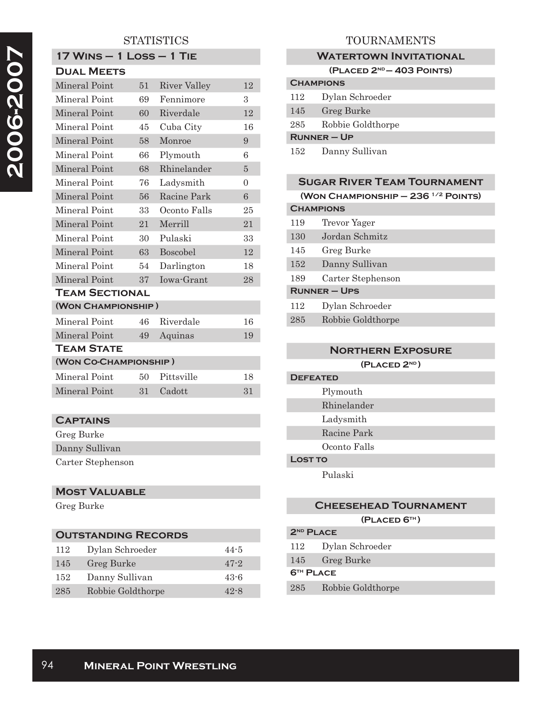## **STATISTICS**

| <b>17 WINS - 1 LOSS - 1 TIE</b> |    |                     |                |
|---------------------------------|----|---------------------|----------------|
| <b>DUAL MEETS</b>               |    |                     |                |
| Mineral Point                   | 51 | <b>River Valley</b> | 12             |
| Mineral Point                   | 69 | Fennimore           | $\mathcal{S}$  |
| Mineral Point                   | 60 | Riverdale           | 12             |
| Mineral Point                   | 45 | Cuba City           | 16             |
| Mineral Point                   | 58 | Monroe              | 9              |
| Mineral Point                   | 66 | Plymouth            | 6              |
| Mineral Point                   | 68 | Rhinelander         | $\overline{5}$ |
| Mineral Point                   | 76 | Ladysmith           | $\Omega$       |
| Mineral Point                   | 56 | Racine Park         | 6              |
| Mineral Point                   | 33 | Oconto Falls        | 25             |
| Mineral Point                   | 21 | Merrill             | 21             |
| Mineral Point                   | 30 | Pulaski             | 33             |
| Mineral Point                   | 63 | Boscobel            | 12             |
| Mineral Point                   | 54 | Darlington          | 18             |
| Mineral Point                   | 37 | Iowa-Grant          | 28             |
| <b>TEAM SECTIONAL</b>           |    |                     |                |
| (WON CHAMPIONSHIP)              |    |                     |                |
| Mineral Point                   | 46 | Riverdale           | 16             |
| Mineral Point                   | 49 | Aquinas             | 19             |
| TEAM STATE                      |    |                     |                |
| (WON CO-CHAMPIONSHIP)           |    |                     |                |
| Mineral Point                   | 50 | Pittsville          | 18             |
| Mineral Point                   | 31 | Cadott              | 31             |
|                                 |    |                     |                |

## **Captains**

| Greg Burke        |  |
|-------------------|--|
| Danny Sullivan    |  |
| Carter Stephenson |  |

#### **Most Valuable**

Greg Burke

| <b>OUTSTANDING RECORDS</b> |                   |          |
|----------------------------|-------------------|----------|
| 112                        | Dylan Schroeder   | $44 - 5$ |
| 145                        | Greg Burke        | $47 - 2$ |
| 152                        | Danny Sullivan    | $43 - 6$ |
| 285                        | Robbie Goldthorpe | 42-8     |

## TOURNAMENTS

#### **WATERTOWN INVITATIONAL**

**(Placed 2nd — 403 Points)**

| <b>CHAMPIONS</b> |                   |
|------------------|-------------------|
| 112              | Dylan Schroeder   |
| 145              | Greg Burke        |
| 285              | Robbie Goldthorpe |
| $R$ UNNER – UP   |                   |
| 152              | Danny Sullivan    |

| <b>SUGAR RIVER TEAM TOURNAMENT</b> |                                           |
|------------------------------------|-------------------------------------------|
|                                    | (WON CHAMPIONSHIP $-236$ $^{1/2}$ POINTS) |
| <b>CHAMPIONS</b>                   |                                           |
| 119                                | Trevor Yager                              |
| 130                                | Jordan Schmitz                            |
| 145                                | Greg Burke                                |
| 152                                | Danny Sullivan                            |
| 189                                | Carter Stephenson                         |
|                                    | <b>RUNNER - UPS</b>                       |
| 112                                | Dylan Schroeder                           |
| 285                                | Robbie Goldthorpe                         |
|                                    |                                           |

# **Northern Exposure (Placed 2nd ) Defeated** Plymouth Rhinelander Ladysmith Racine Park Oconto Falls **Lost to** Pulaski

# **Cheesehead Tournament**

# **(Placed 6th )**

| $2ND$ PLACE           |                   |
|-----------------------|-------------------|
| 112                   | Dylan Schroeder   |
| 145                   | Greg Burke        |
| 6 <sup>TH</sup> PLACE |                   |
| 285                   | Robbie Goldthorpe |